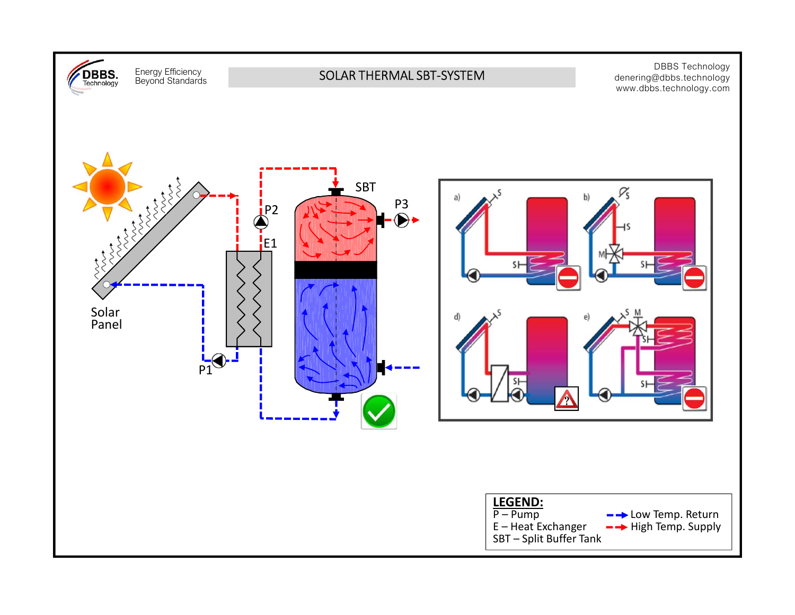